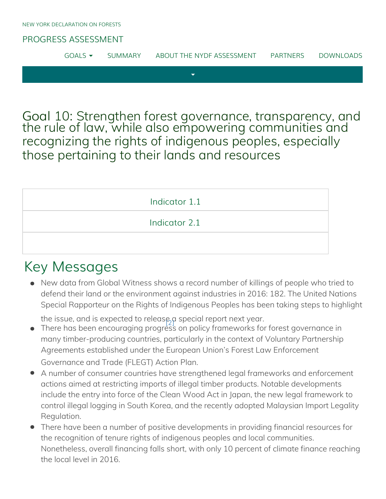### [PROGRESS ASSESSMENT](http://www.forestdeclaration.org/)

| GOAL' | JMMARY | ABOUT THE NYDE ASSESSMENT | PARTNERS | DOWNI OADS |
|-------|--------|---------------------------|----------|------------|
|       |        |                           |          |            |

Goal 10: Strengthen forest governance, transparency, and the rule of law, while also empowering communities and recognizing the rights of indigenous peoples, especially those pertaining to their lands and resources

| Indicator 1.1 |  |
|---------------|--|
| Indicator 2.1 |  |
|               |  |

## Key Messages

<span id="page-0-1"></span>New data from Global Witness shows a record number of killings of people who tried to defend their land or the [envi](#page-8-0)ronment against industries in 2016: 182. The United Nations Special Rapporteur on the Rights of Indigenous Peoples has been taking steps to highlight

the issue, and is expected to release, a special report next year.

- <span id="page-0-0"></span>• There has been encouraging progress on policy frameworks for forest governance in many timber-producing countries, particularly in the context of Voluntary Partnership Agreements established under the European Union's Forest Law Enforcement Governance and Trade (FLEGT) Action Plan.
- A number of consumer countries have strengthened legal frameworks and enforcement actions aimed at restricting imports of illegal timber products. Notable developments include the entry into force of the Clean Wood Act in Japan, the new legal framework to control illegal logging in South Korea, and the recently adopted Malaysian Import Legality Regulation.
- There have been a number of positive developments in providing financial resources for the recognition of tenure rights of indigenous peoples and local communities. Nonetheless, overall financing falls short, with only 10 percent of climate finance reaching the local level in 2016.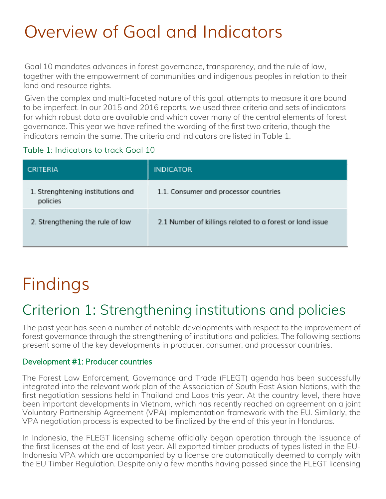# Overview of Goal and Indicators

Goal 10 mandates advances in forest governance, transparency, and the rule of law, together with the empowerment of communities and indigenous peoples in relation to their land and resource rights.

Given the complex and multi-faceted nature of this goal, attempts to measure it are bound to be imperfect. In our 2015 and 2016 reports, we used three criteria and sets of indicators for which robust data are available and which cover many of the central elements of forest governance. This year we have refined the wording of the first two criteria, though the indicators remain the same. The criteria and indicators are listed in Table 1.

#### Table 1: Indicators to track Goal 10

| <b>CRITERIA</b>                               | <b>INDICATOR</b>                                         |
|-----------------------------------------------|----------------------------------------------------------|
| 1. Strenghtening institutions and<br>policies | 1.1. Consumer and processor countries                    |
| 2. Strengthening the rule of law              | 2.1 Number of killings related to a forest or land issue |

# <span id="page-1-0"></span>Findings

## Criterion 1: Strengthening institutions and policies

The past year has seen a number of notable developments with respect to the improvement of forest governance through the strengthening of institutions and policies. The following sections present some of the key developments in producer, consumer, and processor countries.

#### Development #1: Producer countries

<span id="page-1-1"></span>The Forest Law Enforcement, Governance and Trade (FLEGT) agenda has been successfully integrated into the relevant work plan of the Association of South East Asian Nations, with the first negotiation sessions held in Thailand and Laos this year. At the country level, there have been important developments in Vietnam, which has recently reached an agreement on a joint Voluntary Partnership Agreement (VPA) implementation framework with the EU. Similarly, the VPA negotiation process is expected to be finalized by the end of this year in Honduras.

In Indonesia, the FLEGT licensing scheme officially began operation through the issuance of the first licenses at the end of last year. All exported timber products of types listed in the EU-Indonesia VPA which are accompanied by a license are automatically deemed to comply with the EU Timber Regulation. Despite only a few months having passed since the FLEGT licensing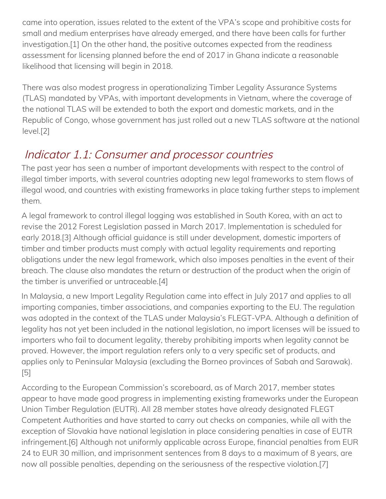came into operation, issues related to the extent of the VPA's scope and prohibitive costs for small and medium enterprises have already emerged, and there have been calls for further investigation.[1] On the other hand, the positive outcomes expected from the readiness assessment for licensing planned before the end of 2017 in Ghana indicate a reasonable likelihood that licensing will begin in 2018.

There was also modest progress in operationalizing Timber Legality Assurance Systems (TLAS) mandated by VPAs, with important developments in Vietnam, where the coverage of the national TLAS will be extended to both the export and domestic markets, and in the Republic of Congo, whose government has just rolled out a new TLAS software at the national  $level.[2]$ ulation. Despite only a few months having passed since the  $F\in \mathbb{R}$ 

## <span id="page-2-0"></span>Indicator 1.1: Consumer and processor countries

The past year has seen a number of important developments with respect to the control of illegal timber imports, with several countries adopting new legal frameworks to stem flows of illegal wood, and countries with existing frameworks in place taking further steps to implement them.

A legal framework to control illegal logging was established in South Korea, with an act to revise the 2012 Forest Legislation passed in March 2017. Implementation is scheduled for early 2018.[3] Although official guidance is still under development, domestic importers of timber and timber products must comply with actual legality requirements and reporting obligations under the new legal framework, which also imposes penalties in the event of their breach. The clause also mandates the return or destruction of the product when the origin of the timber is unverified or untraceable.[4]

In Malaysia, a new Import Legality Regulation came into effect in July 2017 and applies to all importing companies, timber associations, and companies exporting to the EU. The regulation was adopted in the context of the TLAS under Malaysia's FLEGT-VPA. Although a definition of legality has not yet been included in the national legislation, no import licenses will be issued to importers who fail to document legality, thereby prohibiting imports when legality cannot be proved. However, the import regulation refers only to a very specific set of products, and applies only to Peninsular Malaysia (excluding the Borneo provinces of Sabah and Sarawak). [5]

According to the European Commission's scoreboard, as of March 2017, member states appear to have made good progress in implementing existing frameworks under the European Union Timber Regulation (EUTR). All 28 member states have already designated FLEGT Competent Authorities and have started to carry out checks on companies, while all with the exception of Slovakia have national legislation in place considering penalties in case of EUTR infringement.[6] Although not uniformly applicable across Europe, financial penalties from EUR 24 to EUR 30 million, and imprisonment sentences from 8 days to a maximum of 8 years, are now all possible penalties, depending on the seriousness of the respective violation.[7]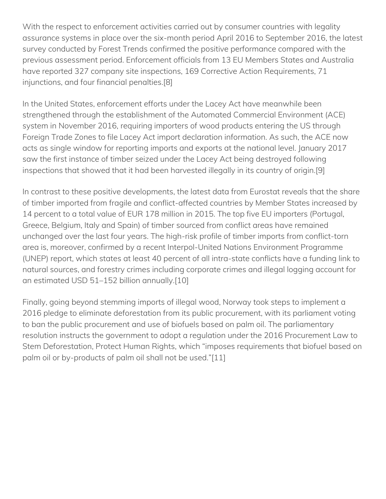With the respect to enforcement activities carried out by consumer countries with legality assurance systems in place over the six-month period April 2016 to September 2016, the latest survey conducted by Forest Trends confirmed the positive performance compared with the previous assessment period. Enforcement officials from 13 EU Members States and Australia have reported 327 company site inspections, 169 Corrective Action Requirements, 71 injunctions, and four financial penalties.[8]

In the United States, enforcement efforts under the Lacey Act have meanwhile been strengthened through the establishment of the Automated Commercial Environment (ACE) system in November 2016, requiring importers of wood products entering the US through Foreign Trade Zones to file Lacey Act import declaration information. As such, the ACE now acts as single window for reporting imports and exports at the national level. January 2017 saw the first instance of timber seized under the Lacey Act being destroyed following inspections that showed that it had been harvested illegally in its country of origin.[9]

In contrast to these positive developments, the latest data from Eurostat reveals that the share of timber imported from fragile and conflict-affected countries by Member States increased by 14 percent to a total value of EUR 178 million in 2015. The top five EU importers (Portugal, Greece, Belgium, Italy and Spain) of timber sourced from conflict areas have remained unchanged over the last four years. The high-risk profile of timber imports from conflict-torn area is, moreover, confirmed by a recent Interpol-United Nations Environment Programme (UNEP) report, which states at least 40 percent of all intra-state conflicts have a funding link to natural sources, and forestry crimes including corporate crimes and illegal logging account for an estimated USD 51–152 billion annually.[10]

<span id="page-3-1"></span><span id="page-3-0"></span>Finally, going beyond stemming imports of illegal wood, Norway took steps to implement a 2016 pledge to eliminate deforestation from its public procurement, with its parliament voting to ban the public procurement and use of biofuels based on palm oil. The parliamentary resolution instructs the government to adopt a regulation under the 2016 Procurement Law to Stem Deforestation, Protect Human Rights, which "imposes requirements that biofuel based on palm oil or by-products of palm oil shall not be used."[11]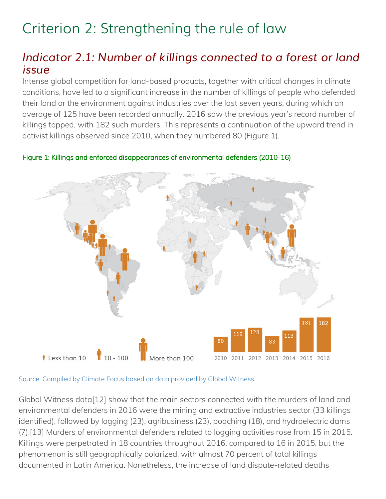## Criterion 2: Strengthening the rule of law

## *Indicator 2.1: Number of killings connected to a forest or land issue*

<span id="page-4-0"></span>Intense global competition for land-based products, together with critical changes in climate conditions, have led to a significant increase in the number of killings of people who defended their land or the environment against industries over the last seven years, during which an average of 125 have been recorded annually. 2016 saw the previous year's record number of killings topped, with 182 such murders. This represents a continuation of the upward trend in activist killings observed since 2010, when they numbered 80 (Figure 1).

Figure 1: Killings and enforced disappearances of environmental defenders (2010-16)

<span id="page-4-2"></span><span id="page-4-1"></span>

Source: Compiled by Climate Focus based on data provided by Global Witness.

<span id="page-4-3"></span>Global Witness data[12] show that the main sectors connected with the murders of land and environmental defenders in 2016 were the mining and extractive industries sector (33 killings identified), followed by logging (23), agribusiness (23), poaching (18), and hydroelectric dams (7).[13] Murders of environmental defenders related to logging activities rose from 15 in 2015. Killings were perpetrated in 18 countries throughout 2016, compared to 16 in 2015, but the phenomenon is still geographically polarized, with almost 70 percent of total killings documented in Latin America. Nonetheless, the increase of land dispute-related deaths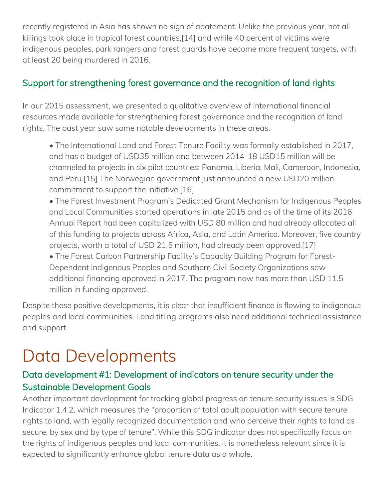recently registered in Asia has shown no sign of abatement. Unlike the previous year, not all killings took place in tropical forest countries,[14] and while 40 percent of victims were indigenous peoples, park rangers and forest guards have become more frequent targets, with at least 20 being murdered in 2016.

### Support for strengthening forest governance and the recognition of land rights

In our 2015 assessment, we presented a qualitative overview of international financial resources made available for strengthening forest governance and the recognition of land rights. The past year saw some notable developments in these areas.

• The International Land and Forest Tenure Facility was formally established in 2017, and has a budget of USD35 million and between 2014-18 USD15 million will be channeled to projects in six pilot countries: Panama, Liberia, Mali, Cameroon, Indonesia, and Peru.[15] The Norwegian government just announced a new USD20 million commitment to support the initiative.[16]

• The Forest Investment Program's Dedicated Grant Mechanism for Indigenous Peoples and Local Communities started operations in late 2015 and as of the time of its 2016 Annual Report had been capitalized with USD 80 million and had already allocated all of this funding to projects across Africa, Asia, and Latin America. Moreover, five country projects, worth a total of USD 21.5 million, had already been approved.[17]

• The Forest Carbon Partnership Facility's Capacity Building Program for Forest-Dependent Indigenous Peoples and Southern Civil Society Organizations saw additional financing approved in 2017. The program now has more than USD 11.5 million in funding approved.

Despite these positive developments, it is clear that insufficient finance is flowing to indigenous peoples and local communities. Land titling programs also need additional technical assistance and support.

# Data Developments

## Data development #1: Development of indicators on tenure security under the Sustainable Development Goals

Another important development for tracking global progress on tenure security issues is SDG Indicator 1.4.2, which measures the "proportion of total adult population with secure tenure rights to land, with legally recognized documentation and who perceive their rights to land as secure, by sex and by type of tenure". While this SDG indicator does not specifically focus on the rights of indigenous peoples and local communities, it is nonetheless relevant since it is expected to significantly enhance global tenure data as a whole.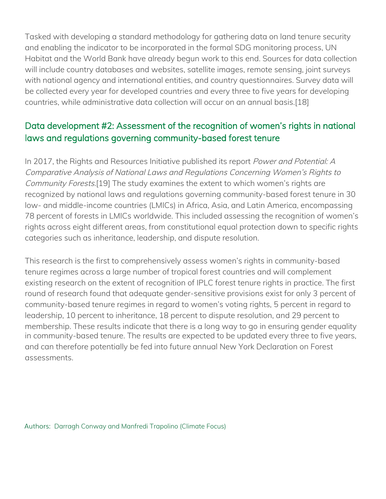Tasked with developing a standard methodology for gathering data on land tenure security [an](#page-0-0)d enabling the indicator to be incorporated in the formal SDG monitoring process, UN [H](#page-1-1)abitat and the World Bank have already begun work to this end. Sources for data collection will include country databases and websites, satellite images, remote sensing, joint surveys [w](#page-2-0)ith national agency and international entities, and country questionnaires. Survey data will be collected every year for developed countries and every three to five years for developing [co](#page-3-1)untries, while administrative data collection will occur on an annual basis.[18]

## Data development #2: Assessment of the recognition of women's rights in national [la](#page-4-0)ws and regulations governing community-based forest tenure

[In](#page-4-1) 2017, the Rights and Resources Initiative published its report Power and Potential: A Comparative Analysis of National Laws and Regulations Concerning Women's Rights to [C](#page-4-2)ommunity Forests.[19] The study examines the extent to which women's rights are recognized by national laws and regulations governing community-based forest tenure in 30 [lo](#page-4-3)w- and middle-income countries (LMICs) in Africa, Asia, and Latin America, encompassing 78 percent of forests in LMICs worldwide. This included assessing the recognition of women's rights across eight different areas, from constitutional equal protection down to specific rights categories such as inheritance, leadership, and dispute resolution.

This research is the first to comprehensively assess women's rights in community-based tenure regimes across a large number of tropical forest countries and will complement existing research on the extent of recognition of IPLC forest tenure rights in practice. The first round of research found that adequate gender-sensitive provisions exist for only 3 percent of community-based tenure regimes in regard to women's voting rights, 5 percent in regard to leadership, 10 percent to inheritance, 18 percent to dispute resolution, and 29 percent to membership. These results indicate that there is a long way to go in ensuring gender equality in community-based tenure. The results are expected to be updated every three to five years, and can therefore potentially be fed into future annual New York Declaration on Forest assessments.

Authors: Darragh Conway and Manfredi Trapolino (Climate Focus)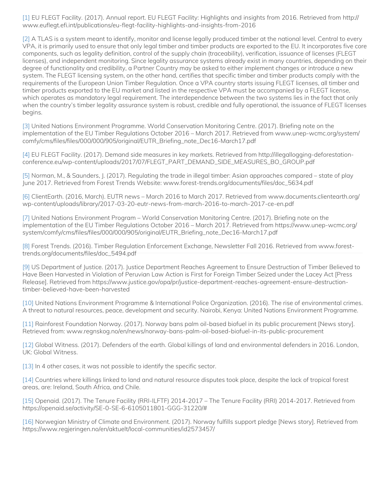[1] EU FLEGT Facility. (2017). Annual report. EU FLEGT Facility: Highlights and insights from 2016. Retrieved from http:// [ww](#page-0-1)w.euflegt.efi.int/publications/eu-flegt-facility-highlights-and-insights-from-2016

[\[2\]](#page-0-0) A TLAS is a system meant to identify, monitor and license legally produced timber at the national level. Central to every VPA, it is primarily used to ensure that only legal timber and timber products are exported to the EU. It incorporates five core components, such as legality definition, control of the supply chain (traceability), verification, issuance of licenses (FLEGT [lice](#page-1-1)nses), and independent monitoring. Since legality assurance systems already exist in many countries, depending on their degree of functionality and credibility, a Partner Country may be asked to either implement changes or introduce a new system. The FLEGT licensing system, on the other hand, certifies that specific timber and timber products comply with the requirements of the European Union Timber Regulation. Once a VPA country starts issuing FLEGT licenses, all timber and timber products exported to the EU market and listed in the respective VPA must be accompanied by a FLEGT license, which operates as mandatory legal requirement. The interdependence between the two systems lies in the fact that only when the country's timber legality assurance system is robust, credible and fully operational, the issuance of FLEGT licenses [beg](#page-3-1)ins.

[3] United Nations Environment Programme. World Conservation Monitoring Centre. (2017). Briefing note on the [imp](#page-4-0)lementation of the EU Timber Regulations October 2016 – March 2017. Retrieved from www.unep-wcmc.org/system/ comfy/cms/files/files/000/000/905/original/EUTR\_Briefing\_note\_Dec16-March17.pdf

[4] EU FLEGT Facility. (2017). Demand side measures in key markets. Retrieved from http://illegallogging-deforestationconference.eu/wp-content/uploads/2017/07/FLEGT\_PART\_DEMAND\_SIDE\_MEASURES\_BO\_GROUP.pdf

[5] Norman, M., & Saunders, J. (2017). Regulating the trade in illegal timber: Asian approaches compared – state of play [Jun](#page-4-2)e 2017. Retrieved from Forest Trends Website: www.forest-trends.org/documents/files/doc\_5634.pdf

[6] ClientEarth. (2016, March). EUTR news – March 2016 to March 2017. Retrieved from www.documents.clientearth.org/ [wp](#page-4-3)-content/uploads/library/2017-03-20-eutr-news-from-march-2016-to-march-2017-ce-en.pdf

[7] United Nations Environment Program – World Conservation Monitoring Centre. (2017). Briefing note on the implementation of the EU Timber Regulations October 2016 – March 2017. Retrieved from https://www.unep-wcmc.org/ system/comfy/cms/files/files/000/000/905/original/EUTR\_Briefing\_note\_Dec16-March17.pdf

[8] Forest Trends. (2016). Timber Regulation Enforcement Exchange, Newsletter Fall 2016. Retrieved from www.foresttrends.org/documents/files/doc\_5494.pdf

[9] US Department of Justice. (2017). Justice Department Reaches Agreement to Ensure Destruction of Timber Believed to Have Been Harvested in Violation of Peruvian Law Action is First for Foreign Timber Seized under the Lacey Act [Press Release]. Retrieved from https://www.justice.gov/opa/pr/justice-department-reaches-agreement-ensure-destructiontimber-believed-have-been-harvested

[10] United Nations Environment Programme & International Police Organization. (2016). The rise of environmental crimes. A threat to natural resources, peace, development and security. Nairobi, Kenya: United Nations Environment Programme.

[11] Rainforest Foundation Norway. (2017). Norway bans palm oil-based biofuel in its public procurement [News story]. Retrieved from: www.regnskog.no/en/news/norway-bans-palm-oil-based-biofuel-in-its-public-procurement

[12] Global Witness. (2017). Defenders of the earth. Global killings of land and environmental defenders in 2016. London, UK: Global Witness.

[13] In 4 other cases, it was not possible to identify the specific sector.

[14] Countries where killings linked to land and natural resource disputes took place, despite the lack of tropical forest areas, are: Ireland, South Africa, and Chile.

[15] Openaid. (2017). The Tenure Facility (RRI-ILFTF) 2014-2017 – The Tenure Facility (RRI) 2014-2017. Retrieved from https://openaid.se/activity/SE-0-SE-6-6105011801-GGG-31220/#

[16] Norwegian Ministry of Climate and Environment. (2017). Norway fulfills support pledge [News story]. Retrieved from https://www.regjeringen.no/en/aktuelt/local-communities/id2573457/